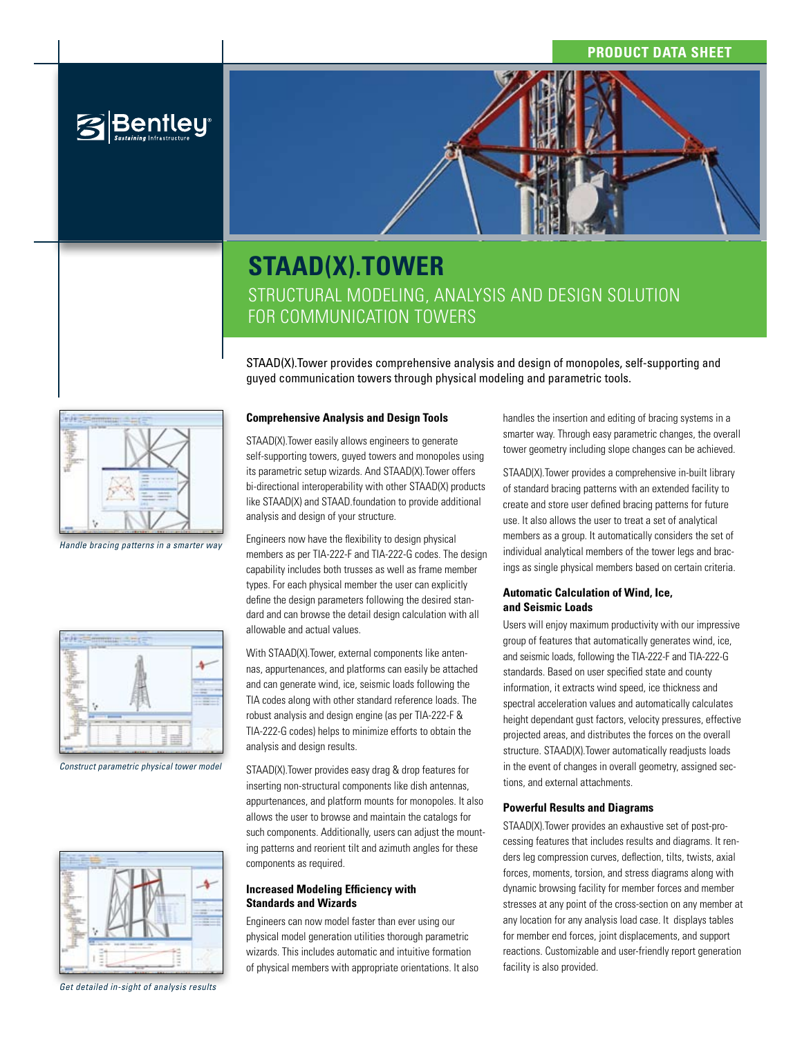## **Product Data Sheet**



# **STAAD(X).TOWER** Structural modeling, analysis and design solution for communication towers

STAAD(X).Tower provides comprehensive analysis and design of monopoles, self-supporting and guyed communication towers through physical modeling and parametric tools.



**Bentley** 

*Handle bracing patterns in a smarter way*



*Construct parametric physical tower model*



*Get detailed in-sight of analysis results*

#### **Comprehensive Analysis and Design Tools**

STAAD(X).Tower easily allows engineers to generate self-supporting towers, guyed towers and monopoles using its parametric setup wizards. And STAAD(X).Tower offers bi-directional interoperability with other STAAD(X) products like STAAD(X) and STAAD.foundation to provide additional analysis and design of your structure.

Engineers now have the flexibility to design physical members as per TIA-222-F and TIA-222-G codes. The design capability includes both trusses as well as frame member types. For each physical member the user can explicitly define the design parameters following the desired standard and can browse the detail design calculation with all allowable and actual values.

With STAAD(X).Tower, external components like antennas, appurtenances, and platforms can easily be attached and can generate wind, ice, seismic loads following the TIA codes along with other standard reference loads. The robust analysis and design engine (as per TIA-222-F & TIA-222-G codes) helps to minimize efforts to obtain the analysis and design results.

STAAD(X).Tower provides easy drag & drop features for inserting non-structural components like dish antennas, appurtenances, and platform mounts for monopoles. It also allows the user to browse and maintain the catalogs for such components. Additionally, users can adjust the mounting patterns and reorient tilt and azimuth angles for these components as required.

#### **Increased Modeling Efficiency with Standards and Wizards**

Engineers can now model faster than ever using our physical model generation utilities thorough parametric wizards. This includes automatic and intuitive formation of physical members with appropriate orientations. It also handles the insertion and editing of bracing systems in a smarter way. Through easy parametric changes, the overall tower geometry including slope changes can be achieved.

STAAD(X).Tower provides a comprehensive in-built library of standard bracing patterns with an extended facility to create and store user defined bracing patterns for future use. It also allows the user to treat a set of analytical members as a group. It automatically considers the set of individual analytical members of the tower legs and bracings as single physical members based on certain criteria.

#### **Automatic Calculation of Wind, Ice, and Seismic Loads**

Users will enjoy maximum productivity with our impressive group of features that automatically generates wind, ice, and seismic loads, following the TIA-222-F and TIA-222-G standards. Based on user specified state and county information, it extracts wind speed, ice thickness and spectral acceleration values and automatically calculates height dependant gust factors, velocity pressures, effective projected areas, and distributes the forces on the overall structure. STAAD(X).Tower automatically readjusts loads in the event of changes in overall geometry, assigned sections, and external attachments.

#### **Powerful Results and Diagrams**

STAAD(X).Tower provides an exhaustive set of post-processing features that includes results and diagrams. It renders leg compression curves, deflection, tilts, twists, axial forces, moments, torsion, and stress diagrams along with dynamic browsing facility for member forces and member stresses at any point of the cross-section on any member at any location for any analysis load case. It displays tables for member end forces, joint displacements, and support reactions. Customizable and user-friendly report generation facility is also provided.